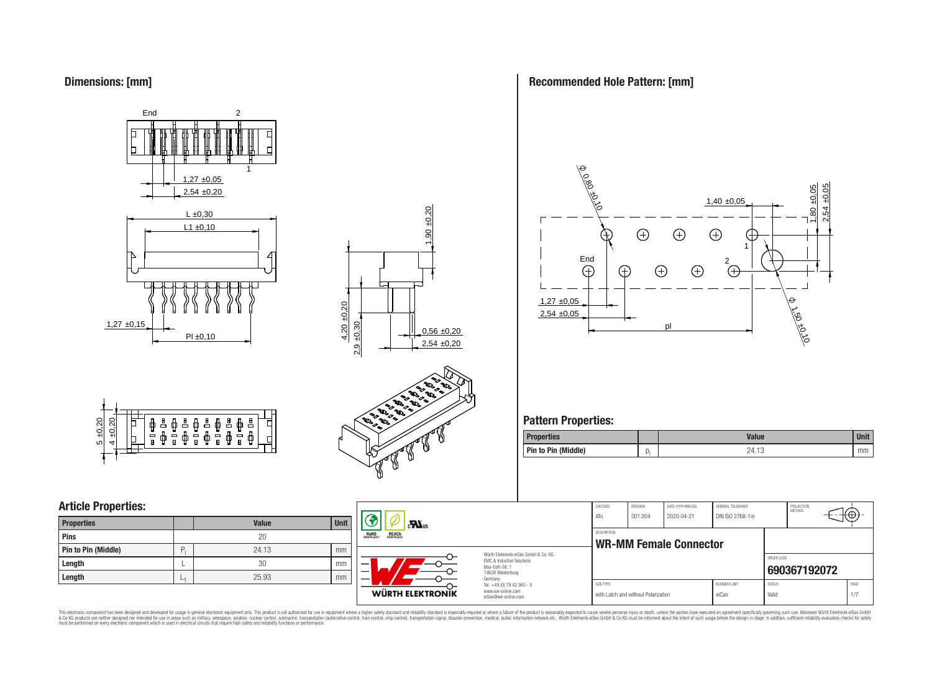# **Dimensions: [mm]**







# **Article Properties:**

| <b>Properties</b>   |   | <b>Value</b> | <b>Unit</b> |
|---------------------|---|--------------|-------------|
| <b>Pins</b>         |   | 20           |             |
| Pin to Pin (Middle) | D | 24.13        | mm          |
| Length              |   | 30           | mm          |
| Length              |   | 25.93        | mm          |



# **Recommended Hole Pattern: [mm]**



# **Pattern Properties:**

| Properties          |    | <b>Value</b> | <b>Unit</b> |
|---------------------|----|--------------|-------------|
| Pin to Pin (Middle) | ال | 24.13        | mm          |

|            |             |                                                                |                                                                        | CHECKED<br>ATo                               | REVISION<br>001.004                 | DATE (YYYY-MM-DD)<br>2020-04-21 | GENERAL TOLERANCE<br>DIN ISO 2768-1m |                        | PROJECTION<br>METHOD | $+\leftrightarrow$ |
|------------|-------------|----------------------------------------------------------------|------------------------------------------------------------------------|----------------------------------------------|-------------------------------------|---------------------------------|--------------------------------------|------------------------|----------------------|--------------------|
| alue<br>20 | <b>Unit</b> | $\mathbf{r}$<br><b>REACH</b><br>COMPLIANT<br>ROHS<br>COMPLIANT |                                                                        | DESCRIPTION<br><b>WR-MM Female Connector</b> |                                     |                                 |                                      |                        |                      |                    |
| 4.13       | mm          |                                                                | Würth Elektronik eiSos GmbH & Co. KG                                   |                                              |                                     |                                 |                                      |                        |                      |                    |
| 30         | mm          | -                                                              | EMC & Inductive Solutions<br>Max-Evth-Str. 1                           |                                              |                                     |                                 |                                      | ORDER CODE             | 690367192072         |                    |
| 5.93       | mm          |                                                                | 74638 Waldenburg<br>Germany                                            |                                              |                                     |                                 |                                      |                        |                      |                    |
|            |             | WÜRTH ELEKTRONIK                                               | Tel. +49 (0) 79 42 945 - 0<br>www.we-online.com<br>eiSos@we-online.com | SIZE/TYPE                                    | with Latch and without Polarization |                                 | <b>BUSINESS UNIT</b><br>eiCan        | <b>STATUS</b><br>Valid |                      | PAGE<br>1/7        |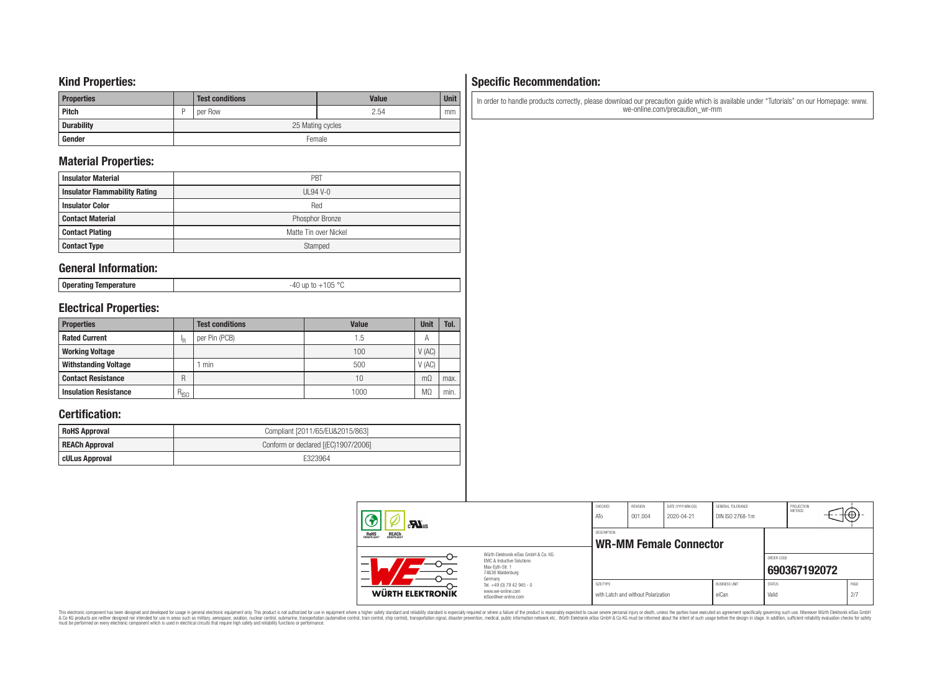### **Kind Properties:**

| <b>Properties</b> |   | <b>Test conditions</b> | <b>Value</b> | <b>Unit</b> |  |  |  |
|-------------------|---|------------------------|--------------|-------------|--|--|--|
| <b>Pitch</b>      | D | per Row                | 2.54         | mm          |  |  |  |
| <b>Durability</b> |   | 25 Mating cycles       |              |             |  |  |  |
| Gender            |   | Female                 |              |             |  |  |  |

# **Material Properties:**

| <b>Insulator Material</b>            | PBT                   |
|--------------------------------------|-----------------------|
| <b>Insulator Flammability Rating</b> | $UL94V-0$             |
| <b>Insulator Color</b>               | Red                   |
| <b>Contact Material</b>              | Phosphor Bronze       |
| <b>Contact Plating</b>               | Matte Tin over Nickel |
| <b>Contact Type</b>                  | Stamped               |

### **General Information:**

| Operating Temperature |  |
|-----------------------|--|
|-----------------------|--|

-40 up to +105 °C

# **Electrical Properties:**

| <b>Properties</b>            |           | <b>Test conditions</b> | <b>Value</b> | <b>Unit</b> | Tol. |
|------------------------------|-----------|------------------------|--------------|-------------|------|
| <b>Rated Current</b>         |           | per Pin (PCB)          | 1.5          | Α           |      |
| <b>Working Voltage</b>       |           |                        | 100          | V(AC)       |      |
| <b>Withstanding Voltage</b>  |           | min                    | 500          | V(AC)       |      |
| <b>Contact Resistance</b>    | R         |                        | 10           | $m\Omega$   | max. |
| <b>Insulation Resistance</b> | $R_{ISO}$ |                        | 1000         | MΩ          | min. |

# **Certification:**

| <b>RoHS Approval</b>  | Compliant [2011/65/EU&2015/863]     |
|-----------------------|-------------------------------------|
| <b>REACh Approval</b> | Conform or declared [(EC)1907/2006] |
| cULus Approval        | F323964                             |

#### CHECKED REVISION DATE (YYYY-MM-DD) GENERAL TOLERANCE PROJECTION<br>METHOD (⊕ ATo 001.004 2020-04-21 DIN ISO 2768-1m  $\mathbf{M}$ <sub>us</sub> DESCRIPTION RoH<sub>S</sub> **WR-MM Female Connector** Würth Elektronik eiSos GmbH & Co. KG ORDER CODE EMC & Inductive Solutions Max-Eyth-Str. 1 **[690367192072](https://katalog.we-online.de/en/em/WR-MM/690367192072)** 74638 Waldenburg Germany Tel. +49 (0) 79 42 945 - 0 SIZE/TYPE BUSINESS UNIT STATUS PAGE www.we-online.com **WÜRTH ELEKTRONIK** with Latch and without Polarization eiCan valid Valid Valid 2/7 eiSos@we-online.com

# This electronic component has been designed and developed for usage in general electronic equipment only. This product is not authorized for subserved requipment where a higher selection equipment where a higher selection

# **Specific Recommendation:**

In order to handle products correctly, please download our precaution guide which is available under "Tutorials" on our Homepage: www. we-online.com/precaution\_wr-mm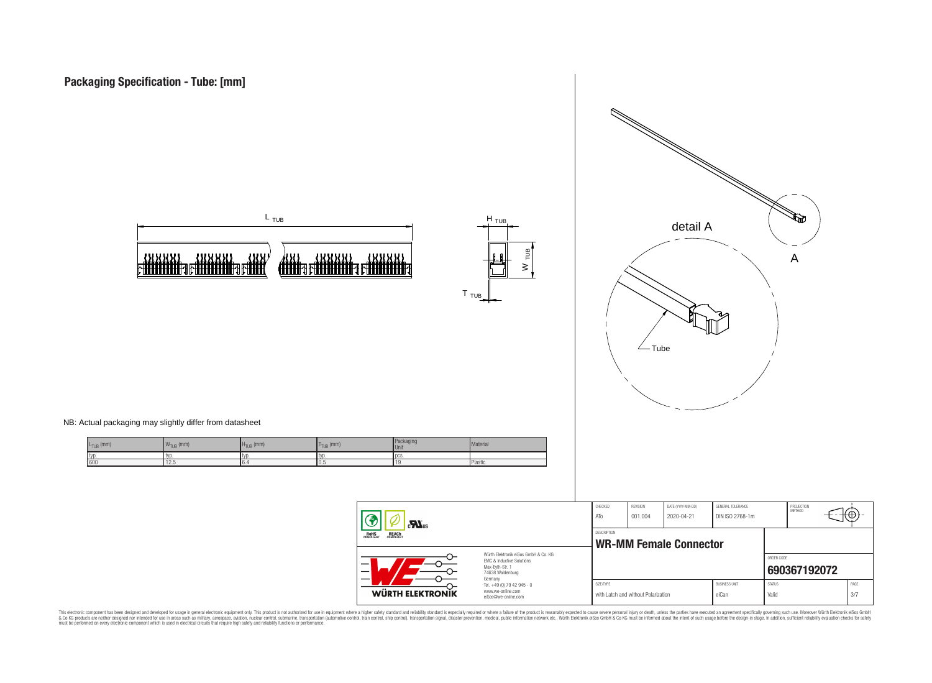





NB: Actual packaging may slightly differ from datasheet

| $L_{\text{TUB}}$ (mm) | 140<br>$\mathsf{W}_{\mathsf{TUB}}$ (mm) | $H_{TUB}$ (mm) | $_{\text{ID}}$ (mm)<br>.apr | Packaging<br>Unit. | Material |
|-----------------------|-----------------------------------------|----------------|-----------------------------|--------------------|----------|
| I typ.                | 1 IVL                                   | tVV.           | . TVD                       | l DCS              |          |
| 600                   | 12.5                                    | .              | U.G                         |                    | Plastic  |

| $\mathbf{M}$ us<br><b>ROHS</b><br>COMPLIANT<br><b>REACH</b><br>COMPLIANT                                                 |                                                                                   | CHECKED<br>ATo                                      | <b>REVISION</b><br>001.004          | DATE (YYYY-MM-DD)<br>2020-04-21 | GENERAL TOLERANCE<br>DIN ISO 2768-1m |                        | PROJECTION<br>METHOD | π⊕∵         |
|--------------------------------------------------------------------------------------------------------------------------|-----------------------------------------------------------------------------------|-----------------------------------------------------|-------------------------------------|---------------------------------|--------------------------------------|------------------------|----------------------|-------------|
|                                                                                                                          |                                                                                   | <b>DESCRIPTION</b><br><b>WR-MM Female Connector</b> |                                     |                                 |                                      |                        |                      |             |
| Würth Elektronik eiSos GmbH & Co. KG<br><b>EMC &amp; Inductive Solutions</b><br>–<br>Max-Eyth-Str. 1<br>74638 Waldenburg |                                                                                   |                                                     |                                     |                                 |                                      | ORDER CODE             | 690367192072         |             |
| WÜRTH ELEKTRONIK                                                                                                         | Germany<br>Tel. +49 (0) 79 42 945 - 0<br>www.we-online.com<br>eiSos@we-online.com | SIZE/TYPE                                           | with Latch and without Polarization |                                 | <b>BUSINESS UNIT</b><br>eiCan        | <b>STATUS</b><br>Valid |                      | PAGE<br>3/7 |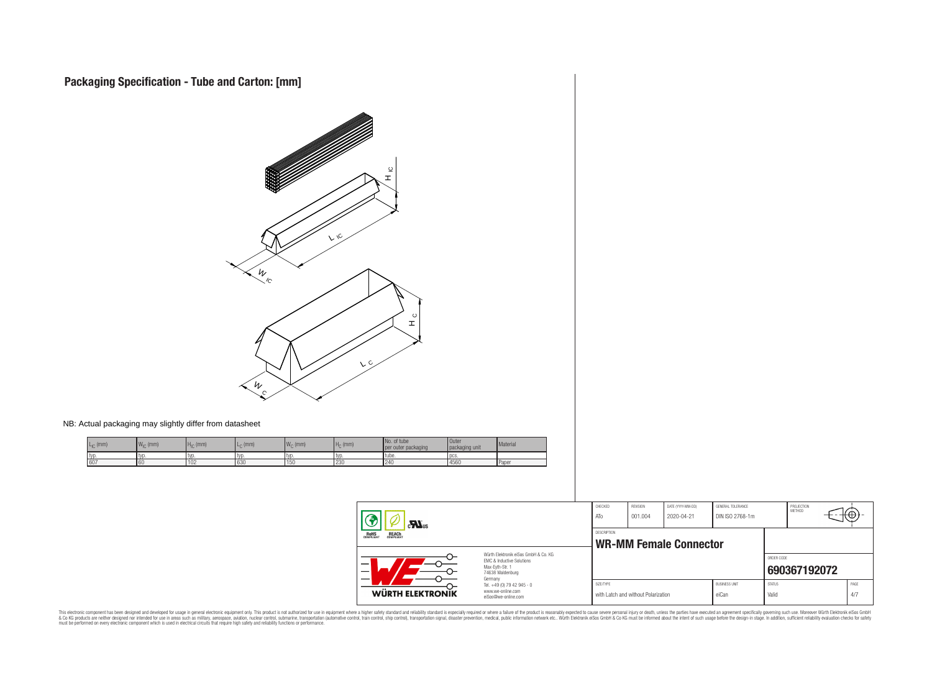

NB: Actual packaging may slightly differ from datasheet

| $\cdot$ (mm) | $W_{\text{in}}$ (mm) | $H_{IC}$ (mm) | $L_{\cap}$ (mm) | $Wc$ (mm) | $Ho$ (mm)        | No. of tube<br>per outer packaging | <b>Outer</b><br>packaging unit | Material     |
|--------------|----------------------|---------------|-----------------|-----------|------------------|------------------------------------|--------------------------------|--------------|
| tvi          | ΙVΟ                  | l typ         | l tvr           | l tvo     | l typ            | l tube.                            | l pcs.                         |              |
| 607          | 60                   | 102           | 630             | 150       | $\sim$<br>1 Z.JU | 124f<br><b>LTU</b>                 | 4560                           | <b>Paper</b> |

| $\mathbf{r}$                                                                                             |                                                                                   | CHECKED<br>ATo                                      | REVISION<br>001.004                 | DATE (YYYY-MM-DD)<br>2020-04-21 | GENERAL TOLERANCE<br>DIN ISO 2768-1m |                        | PROJECTION<br><b>METHOD</b> | tФ |             |
|----------------------------------------------------------------------------------------------------------|-----------------------------------------------------------------------------------|-----------------------------------------------------|-------------------------------------|---------------------------------|--------------------------------------|------------------------|-----------------------------|----|-------------|
| <b>ROHS</b><br>COMPLIANT<br><b>REACH</b><br>COMPLIANT                                                    |                                                                                   | <b>DESCRIPTION</b><br><b>WR-MM Female Connector</b> |                                     |                                 |                                      |                        |                             |    |             |
| Würth Flektronik eiSos GmbH & Co. KG<br>EMC & Inductive Solutions<br>Max-Eyth-Str. 1<br>74638 Waldenburg |                                                                                   |                                                     |                                     |                                 |                                      | ORDER CODE             | 690367192072                |    |             |
| WÜRTH ELEKTRONIK                                                                                         | Germany<br>Tel. +49 (0) 79 42 945 - 0<br>www.we-online.com<br>eiSos@we-online.com | SIZE/TYPE                                           | with Latch and without Polarization |                                 | <b>BUSINESS UNIT</b><br>eiCan        | <b>STATUS</b><br>Valid |                             |    | PAGE<br>4/7 |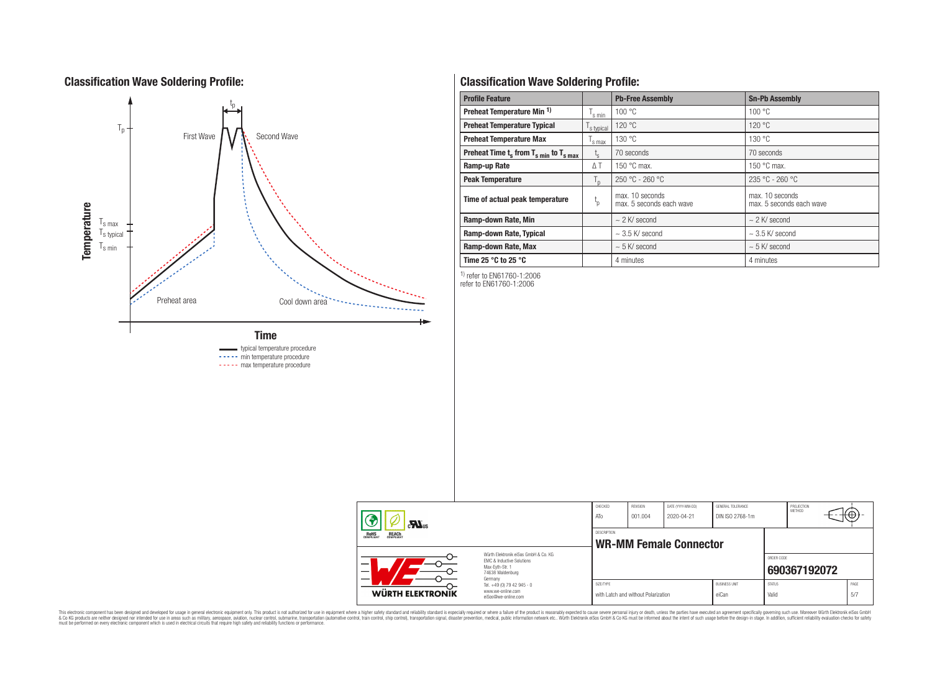# **Classification Wave Soldering Profile:**



----- min temperature procedure

----- max temperature procedure

# **Classification Wave Soldering Profile:**

| <b>Profile Feature</b>                             |                | <b>Pb-Free Assembly</b>                     | <b>Sn-Pb Assembly</b>                       |  |  |  |
|----------------------------------------------------|----------------|---------------------------------------------|---------------------------------------------|--|--|--|
| Preheat Temperature Min <sup>1)</sup>              | s min          | 100 °C                                      | 100 °C                                      |  |  |  |
| <b>Preheat Temperature Typical</b><br>s typical    |                | 120 °C                                      | 120 °C                                      |  |  |  |
| <b>Preheat Temperature Max</b>                     |                | 130 °C                                      | 130 °C                                      |  |  |  |
| Preheat Time $t_s$ from $T_{s,min}$ to $T_{s,max}$ | $t_{s}$        | 70 seconds                                  | 70 seconds                                  |  |  |  |
| Ramp-up Rate                                       | ΔΤ             | 150 $\degree$ C max.                        | 150 $\degree$ C max.                        |  |  |  |
| <b>Peak Temperature</b>                            | $T_{\text{D}}$ | $250 °C - 260 °C$                           | $235 °C - 260 °C$                           |  |  |  |
| Time of actual peak temperature                    | $t_{p}$        | max. 10 seconds<br>max. 5 seconds each wave | max. 10 seconds<br>max. 5 seconds each wave |  |  |  |
| Ramp-down Rate, Min                                |                | $\sim$ 2 K/ second                          | $\sim$ 2 K/ second                          |  |  |  |
| Ramp-down Rate, Typical                            |                | $\sim$ 3.5 K/ second                        | $\sim$ 3.5 K/ second                        |  |  |  |
| Ramp-down Rate, Max                                |                | $\sim$ 5 K/ second                          | $\sim$ 5 K/ second                          |  |  |  |
| Time 25 $\degree$ C to 25 $\degree$ C              |                | 4 minutes                                   | 4 minutes                                   |  |  |  |

1) refer to EN61760-1:2006

refer to EN61760-1:2006

|  | $c_{\text{N}}$ <sub>us</sub>                          |                                                                                                                     | CHECKED<br>ATo | REVISION<br>001.004                 | DATE (YYYY-MM-DD)<br>2020-04-21 | GENERAL TOLERANCE<br>DIN ISO 2768-1m |                        | PROJECTION<br><b>METHOD</b> | ΉΨ.         |
|--|-------------------------------------------------------|---------------------------------------------------------------------------------------------------------------------|----------------|-------------------------------------|---------------------------------|--------------------------------------|------------------------|-----------------------------|-------------|
|  | <b>ROHS</b><br>COMPLIANT<br><b>REACH</b><br>COMPLIANT |                                                                                                                     | DESCRIPTION    |                                     | <b>WR-MM Female Connector</b>   |                                      |                        |                             |             |
|  |                                                       | Würth Elektronik eiSos GmbH & Co. KG<br>EMC & Inductive Solutions<br>Max-Evth-Str. 1<br>74638 Waldenburg<br>Germany |                |                                     |                                 |                                      | ORDER CODE             | 690367192072                |             |
|  | WÜRTH ELEKTRONIK                                      | Tel. +49 (0) 79 42 945 - 0<br>www.we-online.com<br>eiSos@we-online.com                                              | SIZE/TYPE      | with Latch and without Polarization |                                 | <b>BUSINESS UNIT</b><br>eiCan        | <b>STATUS</b><br>Valid |                             | PAGE<br>5/7 |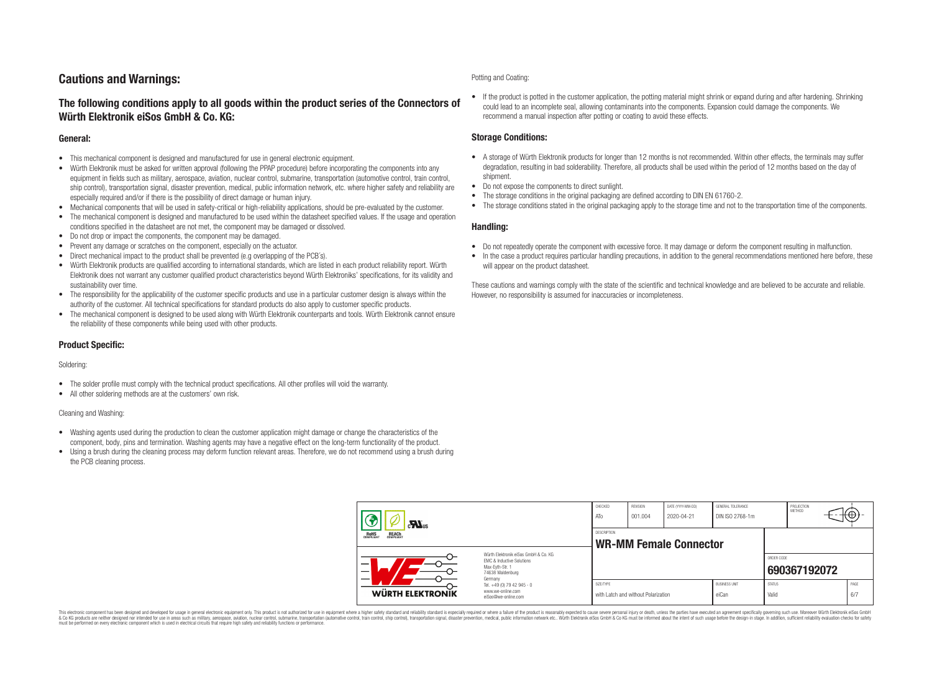# **Cautions and Warnings:**

### **The following conditions apply to all goods within the product series of the Connectors of Würth Elektronik eiSos GmbH & Co. KG:**

### **General:**

- This mechanical component is designed and manufactured for use in general electronic equipment.
- Würth Elektronik must be asked for written approval (following the PPAP procedure) before incorporating the components into any equipment in fields such as military, aerospace, aviation, nuclear control, submarine, transportation (automotive control, train control, ship control), transportation signal, disaster prevention, medical, public information network, etc. where higher safety and reliability are especially required and/or if there is the possibility of direct damage or human injury.
- Mechanical components that will be used in safety-critical or high-reliability applications, should be pre-evaluated by the customer.
- The mechanical component is designed and manufactured to be used within the datasheet specified values. If the usage and operation conditions specified in the datasheet are not met, the component may be damaged or dissolved.
- Do not drop or impact the components, the component may be damaged.
- Prevent any damage or scratches on the component, especially on the actuator.
- Direct mechanical impact to the product shall be prevented (e.g overlapping of the PCB's).
- Würth Elektronik products are qualified according to international standards, which are listed in each product reliability report. Würth Elektronik does not warrant any customer qualified product characteristics beyond Würth Elektroniks' specifications, for its validity and sustainability over time.
- The responsibility for the applicability of the customer specific products and use in a particular customer design is always within the authority of the customer. All technical specifications for standard products do also apply to customer specific products.
- The mechanical component is designed to be used along with Würth Elektronik counterparts and tools. Würth Elektronik cannot ensure the reliability of these components while being used with other products.

### **Product Specific:**

### Soldering:

- The solder profile must comply with the technical product specifications. All other profiles will void the warranty.
- All other soldering methods are at the customers' own risk.

### Cleaning and Washing:

- Washing agents used during the production to clean the customer application might damage or change the characteristics of the component, body, pins and termination. Washing agents may have a negative effect on the long-term functionality of the product.
- Using a brush during the cleaning process may deform function relevant areas. Therefore, we do not recommend using a brush during the PCB cleaning process.

#### Potting and Coating:

• If the product is potted in the customer application, the potting material might shrink or expand during and after hardening. Shrinking could lead to an incomplete seal, allowing contaminants into the components. Expansion could damage the components. We recommend a manual inspection after potting or coating to avoid these effects.

### **Storage Conditions:**

- A storage of Würth Elektronik products for longer than 12 months is not recommended. Within other effects, the terminals may suffer degradation, resulting in bad solderability. Therefore, all products shall be used within the period of 12 months based on the day of shipment.
- Do not expose the components to direct sunlight.
- The storage conditions in the original packaging are defined according to DIN EN 61760-2.
- The storage conditions stated in the original packaging apply to the storage time and not to the transportation time of the components.

### **Handling:**

- Do not repeatedly operate the component with excessive force. It may damage or deform the component resulting in malfunction.
- In the case a product requires particular handling precautions, in addition to the general recommendations mentioned here before, these will appear on the product datasheet.

These cautions and warnings comply with the state of the scientific and technical knowledge and are believed to be accurate and reliable. However, no responsibility is assumed for inaccuracies or incompleteness.

| $\mathbf{r}$                                                                                                                                                                      |                                                                        | CHECKED<br>ATo                               | REVISION<br>001.004                 | DATE (YYYY-MM-DD)<br>2020-04-21 | GENERAL TOLERANCE<br>DIN ISO 2768-1m |                        | PROJECTION<br>METHOD | ₩           |
|-----------------------------------------------------------------------------------------------------------------------------------------------------------------------------------|------------------------------------------------------------------------|----------------------------------------------|-------------------------------------|---------------------------------|--------------------------------------|------------------------|----------------------|-------------|
| <b>REACH</b><br>COMPLIANT<br><b>ROHS</b><br>COMPLIANT<br>Würth Flektronik eiSos GmbH & Co. KG<br>FMC & Inductive Solutions<br>_<br>Max-Evth-Str. 1<br>74638 Waldenburg<br>Germany |                                                                        | DESCRIPTION<br><b>WR-MM Female Connector</b> |                                     |                                 |                                      |                        |                      |             |
|                                                                                                                                                                                   |                                                                        |                                              |                                     |                                 |                                      | ORDER CODE             | 690367192072         |             |
| <b>WÜRTH ELEKTRONIK</b>                                                                                                                                                           | Tel. +49 (0) 79 42 945 - 0<br>www.we-online.com<br>eiSos@we-online.com | SIZE/TYPE                                    | with Latch and without Polarization |                                 | <b>BUSINESS UNIT</b><br>eiCan        | <b>STATUS</b><br>Valid |                      | PAGE<br>6/7 |

This electronic component has been designed and developed for usage in general electronic equipment only. This product is not authorized for use in equipment where a higher safety standard and reliability standard si espec & Ook product a label and the membed of the seasuch as marked and as which such a membed and the such assume that income in the seasuch and the simulation and the such assume that include to the such a membed and the such